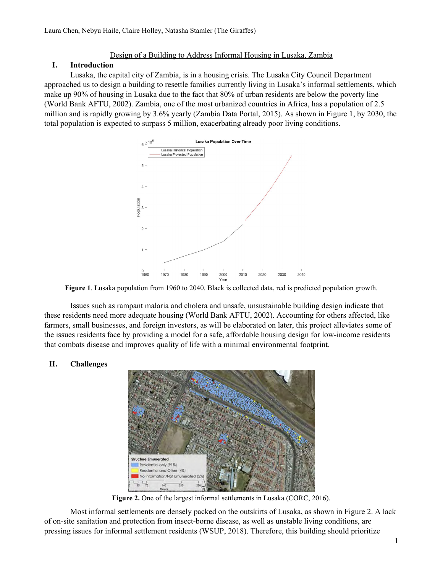## Design of a Building to Address Informal Housing in Lusaka, Zambia

### **I. Introduction**

Lusaka, the capital city of Zambia, is in a housing crisis. The Lusaka City Council Department approached us to design a building to resettle families currently living in Lusaka's informal settlements, which make up 90% of housing in Lusaka due to the fact that 80% of urban residents are below the poverty line (World Bank AFTU, 2002). Zambia, one of the most urbanized countries in Africa, has a population of 2.5 million and is rapidly growing by 3.6% yearly (Zambia Data Portal, 2015). As shown in Figure 1, by 2030, the total population is expected to surpass 5 million, exacerbating already poor living conditions.



**Figure 1**. Lusaka population from 1960 to 2040. Black is collected data, red is predicted population growth.

Issues such as rampant malaria and cholera and unsafe, unsustainable building design indicate that these residents need more adequate housing (World Bank AFTU, 2002). Accounting for others affected, like farmers, small businesses, and foreign investors, as will be elaborated on later, this project alleviates some of the issues residents face by providing a model for a safe, affordable housing design for low-income residents that combats disease and improves quality of life with a minimal environmental footprint.

# **II. Challenges**



**Figure 2.** One of the largest informal settlements in Lusaka (CORC, 2016).

Most informal settlements are densely packed on the outskirts of Lusaka, as shown in Figure 2. A lack of on-site sanitation and protection from insect-borne disease, as well as unstable living conditions, are pressing issues for informal settlement residents (WSUP, 2018). Therefore, this building should prioritize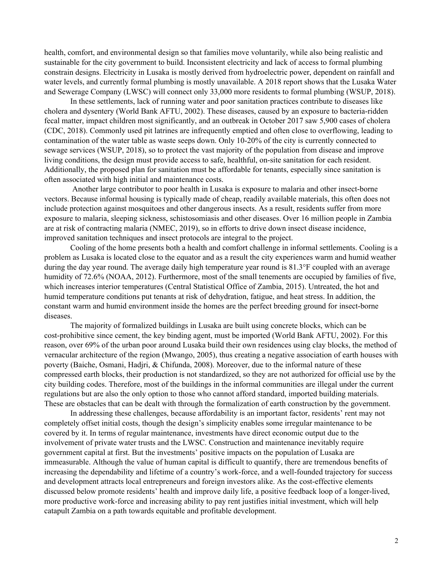health, comfort, and environmental design so that families move voluntarily, while also being realistic and sustainable for the city government to build. Inconsistent electricity and lack of access to formal plumbing constrain designs. Electricity in Lusaka is mostly derived from hydroelectric power, dependent on rainfall and water levels, and currently formal plumbing is mostly unavailable. A 2018 report shows that the Lusaka Water and Sewerage Company (LWSC) will connect only 33,000 more residents to formal plumbing (WSUP, 2018).

In these settlements, lack of running water and poor sanitation practices contribute to diseases like cholera and dysentery (World Bank AFTU, 2002). These diseases, caused by an exposure to bacteria-ridden fecal matter, impact children most significantly, and an outbreak in October 2017 saw 5,900 cases of cholera (CDC, 2018). Commonly used pit latrines are infrequently emptied and often close to overflowing, leading to contamination of the water table as waste seeps down. Only 10-20% of the city is currently connected to sewage services (WSUP, 2018), so to protect the vast majority of the population from disease and improve living conditions, the design must provide access to safe, healthful, on-site sanitation for each resident. Additionally, the proposed plan for sanitation must be affordable for tenants, especially since sanitation is often associated with high initial and maintenance costs.

Another large contributor to poor health in Lusaka is exposure to malaria and other insect-borne vectors. Because informal housing is typically made of cheap, readily available materials, this often does not include protection against mosquitoes and other dangerous insects. As a result, residents suffer from more exposure to malaria, sleeping sickness, schistosomiasis and other diseases. Over 16 million people in Zambia are at risk of contracting malaria (NMEC, 2019), so in efforts to drive down insect disease incidence, improved sanitation techniques and insect protocols are integral to the project.

Cooling of the home presents both a health and comfort challenge in informal settlements. Cooling is a problem as Lusaka is located close to the equator and as a result the city experiences warm and humid weather during the day year round. The average daily high temperature year round is 81.3°F coupled with an average humidity of 72.6% (NOAA, 2012). Furthermore, most of the small tenements are occupied by families of five, which increases interior temperatures (Central Statistical Office of Zambia, 2015). Untreated, the hot and humid temperature conditions put tenants at risk of dehydration, fatigue, and heat stress. In addition, the constant warm and humid environment inside the homes are the perfect breeding ground for insect-borne diseases.

The majority of formalized buildings in Lusaka are built using concrete blocks, which can be cost-prohibitive since cement, the key binding agent, must be imported (World Bank AFTU, 2002). For this reason, over 69% of the urban poor around Lusaka build their own residences using clay blocks, the method of vernacular architecture of the region (Mwango, 2005), thus creating a negative association of earth houses with poverty (Baiche, Osmani, Hadjri, & Chifunda, 2008). Moreover, due to the informal nature of these compressed earth blocks, their production is not standardized, so they are not authorized for official use by the city building codes. Therefore, most of the buildings in the informal communities are illegal under the current regulations but are also the only option to those who cannot afford standard, imported building materials. These are obstacles that can be dealt with through the formalization of earth construction by the government.

In addressing these challenges, because affordability is an important factor, residents' rent may not completely offset initial costs, though the design's simplicity enables some irregular maintenance to be covered by it. In terms of regular maintenance, investments have direct economic output due to the involvement of private water trusts and the LWSC. Construction and maintenance inevitably require government capital at first. But the investments' positive impacts on the population of Lusaka are immeasurable. Although the value of human capital is difficult to quantify, there are tremendous benefits of increasing the dependability and lifetime of a country's work-force, and a well-founded trajectory for success and development attracts local entrepreneurs and foreign investors alike. As the cost-effective elements discussed below promote residents' health and improve daily life, a positive feedback loop of a longer-lived, more productive work-force and increasing ability to pay rent justifies initial investment, which will help catapult Zambia on a path towards equitable and profitable development.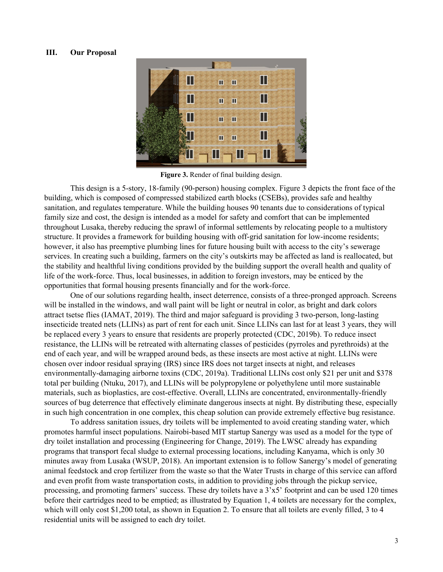#### **III. Our Proposal**



**Figure 3.** Render of final building design.

This design is a 5-story, 18-family (90-person) housing complex. Figure 3 depicts the front face of the building, which is composed of compressed stabilized earth blocks (CSEBs), provides safe and healthy sanitation, and regulates temperature. While the building houses 90 tenants due to considerations of typical family size and cost, the design is intended as a model for safety and comfort that can be implemented throughout Lusaka, thereby reducing the sprawl of informal settlements by relocating people to a multistory structure. It provides a framework for building housing with off-grid sanitation for low-income residents; however, it also has preemptive plumbing lines for future housing built with access to the city's sewerage services. In creating such a building, farmers on the city's outskirts may be affected as land is reallocated, but the stability and healthful living conditions provided by the building support the overall health and quality of life of the work-force. Thus, local businesses, in addition to foreign investors, may be enticed by the opportunities that formal housing presents financially and for the work-force.

One of our solutions regarding health, insect deterrence, consists of a three-pronged approach. Screens will be installed in the windows, and wall paint will be light or neutral in color, as bright and dark colors attract tsetse flies (IAMAT, 2019). The third and major safeguard is providing 3 two-person, long-lasting insecticide treated nets (LLINs) as part of rent for each unit. Since LLINs can last for at least 3 years, they will be replaced every 3 years to ensure that residents are properly protected (CDC, 2019b). To reduce insect resistance, the LLINs will be retreated with alternating classes of pesticides (pyrroles and pyrethroids) at the end of each year, and will be wrapped around beds, as these insects are most active at night. LLINs were chosen over indoor residual spraying (IRS) since IRS does not target insects at night, and releases environmentally-damaging airborne toxins (CDC, 2019a). Traditional LLINs cost only \$21 per unit and \$378 total per building (Ntuku, 2017), and LLINs will be polypropylene or polyethylene until more sustainable materials, such as bioplastics, are cost-effective. Overall, LLINs are concentrated, environmentally-friendly sources of bug deterrence that effectively eliminate dangerous insects at night. By distributing these, especially in such high concentration in one complex, this cheap solution can provide extremely effective bug resistance.

To address sanitation issues, dry toilets will be implemented to avoid creating standing water, which promotes harmful insect populations. Nairobi-based MIT startup Sanergy was used as a model for the type of dry toilet installation and processing (Engineering for Change, 2019). The LWSC already has expanding programs that transport fecal sludge to external processing locations, including Kanyama, which is only 30 minutes away from Lusaka (WSUP, 2018). An important extension is to follow Sanergy's model of generating animal feedstock and crop fertilizer from the waste so that the Water Trusts in charge of this service can afford and even profit from waste transportation costs, in addition to providing jobs through the pickup service, processing, and promoting farmers' success. These dry toilets have a 3'x5' footprint and can be used 120 times before their cartridges need to be emptied; as illustrated by Equation 1, 4 toilets are necessary for the complex, which will only cost \$1,200 total, as shown in Equation 2. To ensure that all toilets are evenly filled, 3 to 4 residential units will be assigned to each dry toilet.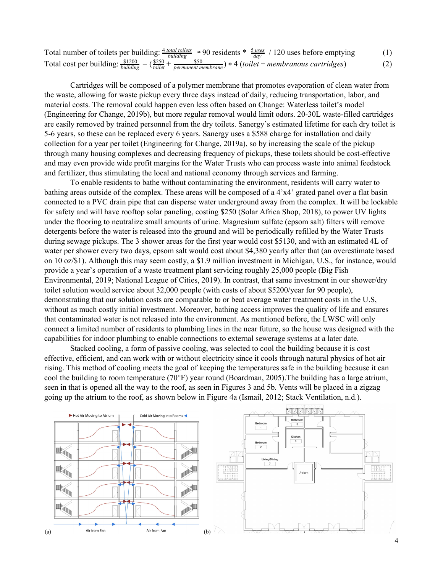Total number of toilets per building:  $\frac{4 \text{ total to } t}{\text{building}} \approx 90$  residents  $*$   $\frac{5 \text{ uses}}{\text{day}}$  / 120 uses before emptying (1) Total cost per building:  $\frac{$1200}{$building} = (\frac{$250}{$toilet} + \frac{$50}{$ $ermanent\, memberane}) * 4 (toilet + membranous \, cartridges)$  (2)$ 

Cartridges will be composed of a polymer membrane that promotes evaporation of clean water from the waste, allowing for waste pickup every three days instead of daily, reducing transportation, labor, and material costs. The removal could happen even less often based on Change: Waterless toilet's model (Engineering for Change, 2019b), but more regular removal would limit odors. 20-30L waste-filled cartridges are easily removed by trained personnel from the dry toilets. Sanergy's estimated lifetime for each dry toilet is 5-6 years, so these can be replaced every 6 years. Sanergy uses a \$588 charge for installation and daily collection for a year per toilet (Engineering for Change, 2019a), so by increasing the scale of the pickup through many housing complexes and decreasing frequency of pickups, these toilets should be cost-effective and may even provide wide profit margins for the Water Trusts who can process waste into animal feedstock and fertilizer, thus stimulating the local and national economy through services and farming.

To enable residents to bathe without contaminating the environment, residents will carry water to bathing areas outside of the complex. These areas will be composed of a 4'x4' grated panel over a flat basin connected to a PVC drain pipe that can disperse water underground away from the complex. It will be lockable for safety and will have rooftop solar paneling, costing \$250 (Solar Africa Shop, 2018), to power UV lights under the flooring to neutralize small amounts of urine. Magnesium sulfate (epsom salt) filters will remove detergents before the water is released into the ground and will be periodically refilled by the Water Trusts during sewage pickups. The 3 shower areas for the first year would cost \$5130, and with an estimated 4L of water per shower every two days, epsom salt would cost about \$4,380 yearly after that (an overestimate based on 10 oz/\$1). Although this may seem costly, a \$1.9 million investment in Michigan, U.S., for instance, would provide a year's operation of a waste treatment plant servicing roughly 25,000 people (Big Fish Environmental, 2019; National League of Cities, 2019). In contrast, that same investment in our shower/dry toilet solution would service about 32,000 people (with costs of about \$5200/year for 90 people), demonstrating that our solution costs are comparable to or beat average water treatment costs in the U.S, without as much costly initial investment. Moreover, bathing access improves the quality of life and ensures that contaminated water is not released into the environment. As mentioned before, the LWSC will only connect a limited number of residents to plumbing lines in the near future, so the house was designed with the capabilities for indoor plumbing to enable connections to external sewerage systems at a later date.

Stacked cooling, a form of passive cooling, was selected to cool the building because it is cost effective, efficient, and can work with or without electricity since it cools through natural physics of hot air rising. This method of cooling meets the goal of keeping the temperatures safe in the building because it can cool the building to room temperature (70°F) year round (Boardman, 2005).The building has a large atrium, seen in that is opened all the way to the roof, as seen in Figures 3 and 5b. Vents will be placed in a zigzag going up the atrium to the roof, as shown below in Figure 4a (Ismail, 2012; Stack Ventilation, n.d.).

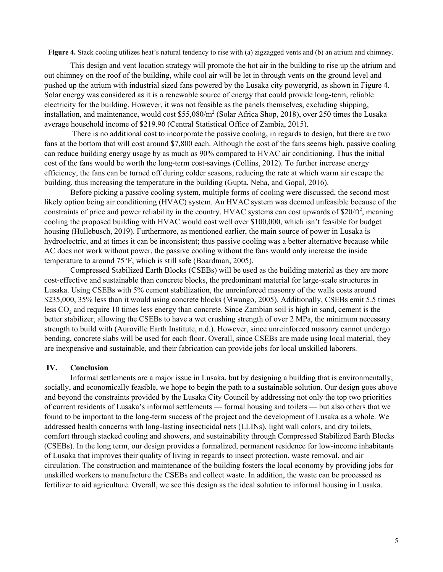**Figure 4.** Stack cooling utilizes heat's natural tendency to rise with (a) zigzagged vents and (b) an atrium and chimney.

This design and vent location strategy will promote the hot air in the building to rise up the atrium and out chimney on the roof of the building, while cool air will be let in through vents on the ground level and pushed up the atrium with industrial sized fans powered by the Lusaka city powergrid, as shown in Figure 4. Solar energy was considered as it is a renewable source of energy that could provide long-term, reliable electricity for the building. However, it was not feasible as the panels themselves, excluding shipping, installation, and maintenance, would cost \$55,080/m 2 (Solar Africa Shop, 2018), over 250 times the Lusaka average household income of \$219.90 (Central Statistical Office of Zambia, 2015).

There is no additional cost to incorporate the passive cooling, in regards to design, but there are two fans at the bottom that will cost around \$7,800 each. Although the cost of the fans seems high, passive cooling can reduce building energy usage by as much as 90% compared to HVAC air conditioning. Thus the initial cost of the fans would be worth the long-term cost-savings (Collins, 2012). To further increase energy efficiency, the fans can be turned off during colder seasons, reducing the rate at which warm air escape the building, thus increasing the temperature in the building (Gupta, Neha, and Gopal, 2016).

Before picking a passive cooling system, multiple forms of cooling were discussed, the second most likely option being air conditioning (HVAC) system. An HVAC system was deemed unfeasible because of the constraints of price and power reliability in the country. HVAC systems can cost upwards of \$20/ft<sup>2</sup>, meaning cooling the proposed building with HVAC would cost well over \$100,000, which isn't feasible for budget housing (Hullebusch, 2019). Furthermore, as mentioned earlier, the main source of power in Lusaka is hydroelectric, and at times it can be inconsistent; thus passive cooling was a better alternative because while AC does not work without power, the passive cooling without the fans would only increase the inside temperature to around 75°F, which is still safe (Boardman, 2005).

Compressed Stabilized Earth Blocks (CSEBs) will be used as the building material as they are more cost-effective and sustainable than concrete blocks, the predominant material for large-scale structures in Lusaka. Using CSEBs with 5% cement stabilization, the unreinforced masonry of the walls costs around \$235,000, 35% less than it would using concrete blocks (Mwango, 2005). Additionally, CSEBs emit 5.5 times less CO<sub>2</sub> and require 10 times less energy than concrete. Since Zambian soil is high in sand, cement is the better stabilizer, allowing the CSEBs to have a wet crushing strength of over 2 MPa, the minimum necessary strength to build with (Auroville Earth Institute, n.d.). However, since unreinforced masonry cannot undergo bending, concrete slabs will be used for each floor. Overall, since CSEBs are made using local material, they are inexpensive and sustainable, and their fabrication can provide jobs for local unskilled laborers.

#### **IV. Conclusion**

Informal settlements are a major issue in Lusaka, but by designing a building that is environmentally, socially, and economically feasible, we hope to begin the path to a sustainable solution. Our design goes above and beyond the constraints provided by the Lusaka City Council by addressing not only the top two priorities of current residents of Lusaka's informal settlements — formal housing and toilets — but also others that we found to be important to the long-term success of the project and the development of Lusaka as a whole. We addressed health concerns with long-lasting insecticidal nets (LLINs), light wall colors, and dry toilets, comfort through stacked cooling and showers, and sustainability through Compressed Stabilized Earth Blocks (CSEBs). In the long term, our design provides a formalized, permanent residence for low-income inhabitants of Lusaka that improves their quality of living in regards to insect protection, waste removal, and air circulation. The construction and maintenance of the building fosters the local economy by providing jobs for unskilled workers to manufacture the CSEBs and collect waste. In addition, the waste can be processed as fertilizer to aid agriculture. Overall, we see this design as the ideal solution to informal housing in Lusaka.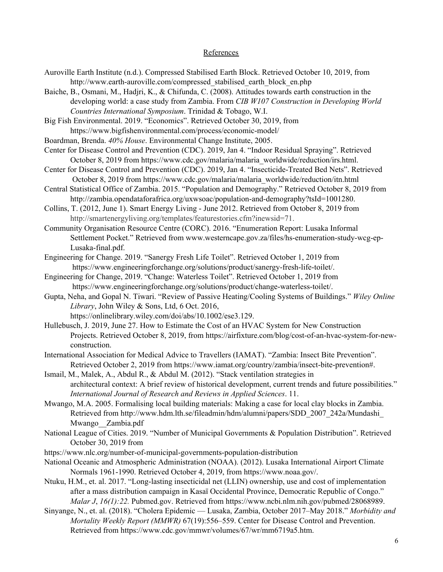#### References

- Auroville Earth Institute (n.d.). Compressed Stabilised Earth Block. Retrieved October 10, 2019, from http://www.earth-auroville.com/compressed\_stabilised\_earth\_block\_en.php
- Baiche, B., Osmani, M., Hadjri, K., & Chifunda, C. (2008). Attitudes towards earth construction in the developing world: a case study from Zambia. From *CIB W107 Construction in Developing World Countries International Symposium*. Trinidad & Tobago, W.I.

Big Fish Environmental. 2019. "Economics". Retrieved October 30, 2019, from https://www.bigfishenvironmental.com/process/economic-model/

- Boardman, Brenda. *40% House*. Environmental Change Institute, 2005.
- Center for Disease Control and Prevention (CDC). 2019, Jan 4. "Indoor Residual Spraying". Retrieved October 8, 2019 from https://www.cdc.gov/malaria/malaria\_worldwide/reduction/irs.html.
- Center for Disease Control and Prevention (CDC). 2019, Jan 4. "Insecticide-Treated Bed Nets". Retrieved October 8, 2019 from https://www.cdc.gov/malaria/malaria\_worldwide/reduction/itn.html
- Central Statistical Office of Zambia. 2015. "Population and Demography." Retrieved October 8, 2019 from http://zambia.opendataforafrica.org/uxwsoac/population-and-demography?tsId=1001280.
- Collins, T. (2012, June 1). Smart Energy Living June 2012. Retrieved from October 8, 2019 from http://smartenergyliving.org/templates/featurestories.cfm?inewsid=71.
- Community Organisation Resource Centre (CORC). 2016. "Enumeration Report: Lusaka Informal Settlement Pocket." Retrieved from www.westerncape.gov.za/files/hs-enumeration-study-wcg-ep-Lusaka-final.pdf.
- Engineering for Change. 2019. "Sanergy Fresh Life Toilet". Retrieved October 1, 2019 from https://www.engineeringforchange.org/solutions/product/sanergy-fresh-life-toilet/.
- Engineering for Change, 2019. "Change: Waterless Toilet". Retrieved October 1, 2019 from https://www.engineeringforchange.org/solutions/product/change-waterless-toilet/.
- Gupta, Neha, and Gopal N. Tiwari. "Review of Passive Heating/Cooling Systems of Buildings." *Wiley Online Library*, John Wiley & Sons, Ltd, 6 Oct. 2016, https://onlinelibrary.wiley.com/doi/abs/10.1002/ese3.129.
- Hullebusch, J. 2019, June 27. How to Estimate the Cost of an HVAC System for New Construction Projects. Retrieved October 8, 2019, from https://airfixture.com/blog/cost-of-an-hvac-system-for-newconstruction.
- International Association for Medical Advice to Travellers (IAMAT). "Zambia: Insect Bite Prevention". Retrieved October 2, 2019 from https://www.iamat.org/country/zambia/insect-bite-prevention#.

Ismail, M., Malek, A., Abdul R., & Abdul M. (2012). "Stack ventilation strategies in architectural context: A brief review of historical development, current trends and future possibilities." *International Journal of Research and Reviews in Applied Sciences*. 11.

Mwango, M.A. 2005. Formalising local building materials: Making a case for local clay blocks in Zambia. Retrieved from http://www.hdm.lth.se/fileadmin/hdm/alumni/papers/SDD\_2007\_242a/Mundashi\_ Mwango\_\_Zambia.pdf

- National League of Cities. 2019. "Number of Municipal Governments & Population Distribution". Retrieved October 30, 2019 from
- https://www.nlc.org/number-of-municipal-governments-population-distribution
- National Oceanic and Atmospheric Administration (NOAA). (2012). Lusaka International Airport Climate Normals 1961-1990. Retrieved October 4, 2019, from https://www.noaa.gov/.
- Ntuku, H.M., et. al. 2017. "Long-lasting insecticidal net (LLIN) ownership, use and cost of implementation after a mass distribution campaign in Kasaï Occidental Province, Democratic Republic of Congo." *Malar J*, *16(1):22.* Pubmed.gov. Retrieved from https://www.ncbi.nlm.nih.gov/pubmed/28068989.
- Sinyange, N., et. al. (2018). "Cholera Epidemic Lusaka, Zambia, October 2017–May 2018." *Morbidity and Mortality Weekly Report (MMWR)* 67(19):556–559. Center for Disease Control and Prevention. Retrieved from https://www.cdc.gov/mmwr/volumes/67/wr/mm6719a5.htm.